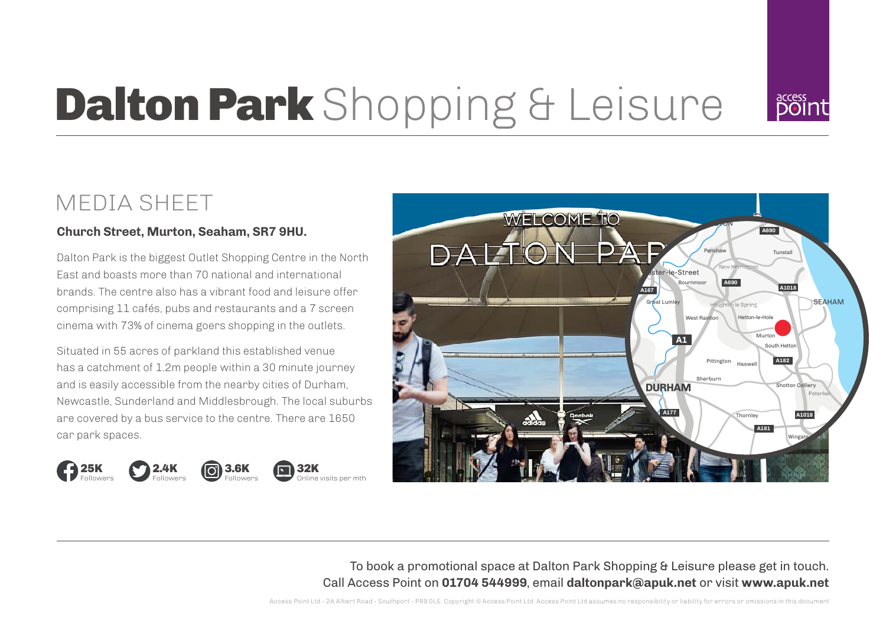

# Dalton Park Shopping & Leisure

### **Church Street, Murton, Seaham, SR7 9HU.**

Dalton Park is the biggest Outlet Shopping Centre in the North East and boasts more than 70 national and international brands. The centre also has a vibrant food and leisure offer comprising 11 cafés, pubs and restaurants and a 7 screen cinema with 73% of cinema goers shopping in the outlets.

Situated in 55 acres of parkland this established venue has a catchment of 1.2m people within a 30 minute journey and is easily accessible from the nearby cities of Durham, Newcastle, Sunderland and Middlesbrough. The local suburbs are covered by a bus service to the centre. There are 1650 car park spaces.







Online visits per mth



To book a promotional space at Dalton Park Shopping & Leisure please get in touch. Call Access Point on **01704 544999**, email **daltonpark@apuk.net** or visit **www.apuk.net**